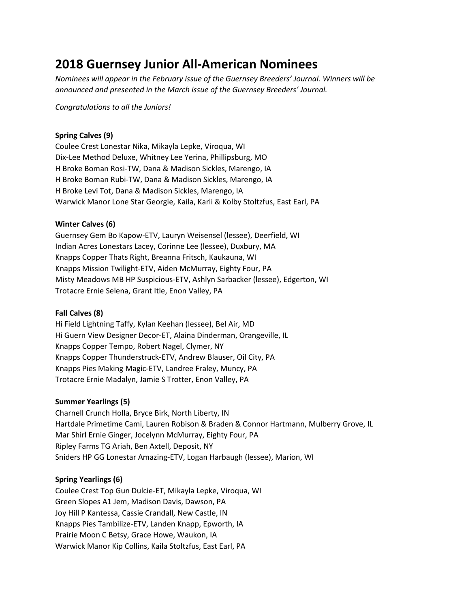# **2018 Guernsey Junior All-American Nominees**

*Nominees will appear in the February issue of the Guernsey Breeders' Journal. Winners will be announced and presented in the March issue of the Guernsey Breeders' Journal.*

*Congratulations to all the Juniors!*

# **Spring Calves (9)**

Coulee Crest Lonestar Nika, Mikayla Lepke, Viroqua, WI Dix-Lee Method Deluxe, Whitney Lee Yerina, Phillipsburg, MO H Broke Boman Rosi-TW, Dana & Madison Sickles, Marengo, IA H Broke Boman Rubi-TW, Dana & Madison Sickles, Marengo, IA H Broke Levi Tot, Dana & Madison Sickles, Marengo, IA Warwick Manor Lone Star Georgie, Kaila, Karli & Kolby Stoltzfus, East Earl, PA

# **Winter Calves (6)**

Guernsey Gem Bo Kapow-ETV, Lauryn Weisensel (lessee), Deerfield, WI Indian Acres Lonestars Lacey, Corinne Lee (lessee), Duxbury, MA Knapps Copper Thats Right, Breanna Fritsch, Kaukauna, WI Knapps Mission Twilight-ETV, Aiden McMurray, Eighty Four, PA Misty Meadows MB HP Suspicious-ETV, Ashlyn Sarbacker (lessee), Edgerton, WI Trotacre Ernie Selena, Grant Itle, Enon Valley, PA

# **Fall Calves (8)**

Hi Field Lightning Taffy, Kylan Keehan (lessee), Bel Air, MD Hi Guern View Designer Decor-ET, Alaina Dinderman, Orangeville, IL Knapps Copper Tempo, Robert Nagel, Clymer, NY Knapps Copper Thunderstruck-ETV, Andrew Blauser, Oil City, PA Knapps Pies Making Magic-ETV, Landree Fraley, Muncy, PA Trotacre Ernie Madalyn, Jamie S Trotter, Enon Valley, PA

# **Summer Yearlings (5)**

Charnell Crunch Holla, Bryce Birk, North Liberty, IN Hartdale Primetime Cami, Lauren Robison & Braden & Connor Hartmann, Mulberry Grove, IL Mar Shirl Ernie Ginger, Jocelynn McMurray, Eighty Four, PA Ripley Farms TG Ariah, Ben Axtell, Deposit, NY Sniders HP GG Lonestar Amazing-ETV, Logan Harbaugh (lessee), Marion, WI

# **Spring Yearlings (6)**

Coulee Crest Top Gun Dulcie-ET, Mikayla Lepke, Viroqua, WI Green Slopes A1 Jem, Madison Davis, Dawson, PA Joy Hill P Kantessa, Cassie Crandall, New Castle, IN Knapps Pies Tambilize-ETV, Landen Knapp, Epworth, IA Prairie Moon C Betsy, Grace Howe, Waukon, IA Warwick Manor Kip Collins, Kaila Stoltzfus, East Earl, PA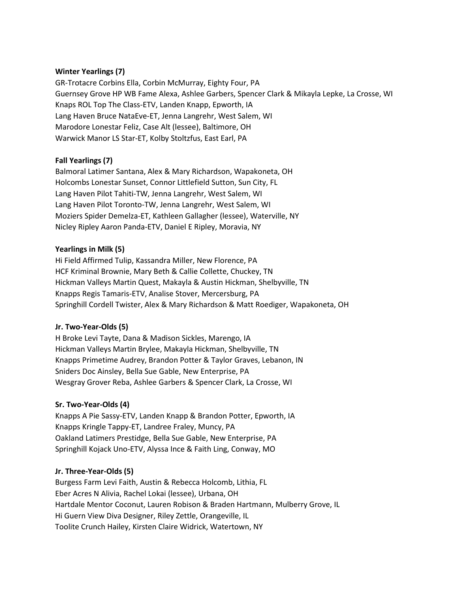# **Winter Yearlings (7)**

GR-Trotacre Corbins Ella, Corbin McMurray, Eighty Four, PA Guernsey Grove HP WB Fame Alexa, Ashlee Garbers, Spencer Clark & Mikayla Lepke, La Crosse, WI Knaps ROL Top The Class-ETV, Landen Knapp, Epworth, IA Lang Haven Bruce NataEve-ET, Jenna Langrehr, West Salem, WI Marodore Lonestar Feliz, Case Alt (lessee), Baltimore, OH Warwick Manor LS Star-ET, Kolby Stoltzfus, East Earl, PA

# **Fall Yearlings (7)**

Balmoral Latimer Santana, Alex & Mary Richardson, Wapakoneta, OH Holcombs Lonestar Sunset, Connor Littlefield Sutton, Sun City, FL Lang Haven Pilot Tahiti-TW, Jenna Langrehr, West Salem, WI Lang Haven Pilot Toronto-TW, Jenna Langrehr, West Salem, WI Moziers Spider Demelza-ET, Kathleen Gallagher (lessee), Waterville, NY Nicley Ripley Aaron Panda-ETV, Daniel E Ripley, Moravia, NY

## **Yearlings in Milk (5)**

Hi Field Affirmed Tulip, Kassandra Miller, New Florence, PA HCF Kriminal Brownie, Mary Beth & Callie Collette, Chuckey, TN Hickman Valleys Martin Quest, Makayla & Austin Hickman, Shelbyville, TN Knapps Regis Tamaris-ETV, Analise Stover, Mercersburg, PA Springhill Cordell Twister, Alex & Mary Richardson & Matt Roediger, Wapakoneta, OH

#### **Jr. Two-Year-Olds (5)**

H Broke Levi Tayte, Dana & Madison Sickles, Marengo, IA Hickman Valleys Martin Brylee, Makayla Hickman, Shelbyville, TN Knapps Primetime Audrey, Brandon Potter & Taylor Graves, Lebanon, IN Sniders Doc Ainsley, Bella Sue Gable, New Enterprise, PA Wesgray Grover Reba, Ashlee Garbers & Spencer Clark, La Crosse, WI

#### **Sr. Two-Year-Olds (4)**

Knapps A Pie Sassy-ETV, Landen Knapp & Brandon Potter, Epworth, IA Knapps Kringle Tappy-ET, Landree Fraley, Muncy, PA Oakland Latimers Prestidge, Bella Sue Gable, New Enterprise, PA Springhill Kojack Uno-ETV, Alyssa Ince & Faith Ling, Conway, MO

### **Jr. Three-Year-Olds (5)**

Burgess Farm Levi Faith, Austin & Rebecca Holcomb, Lithia, FL Eber Acres N Alivia, Rachel Lokai (lessee), Urbana, OH Hartdale Mentor Coconut, Lauren Robison & Braden Hartmann, Mulberry Grove, IL Hi Guern View Diva Designer, Riley Zettle, Orangeville, IL Toolite Crunch Hailey, Kirsten Claire Widrick, Watertown, NY